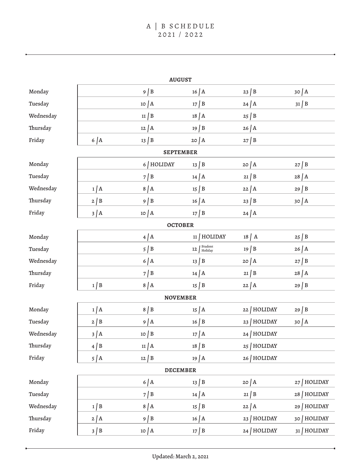| <b>AUGUST</b>    |            |               |                          |                |                |  |  |  |  |
|------------------|------------|---------------|--------------------------|----------------|----------------|--|--|--|--|
| Monday           |            | $9 \mid B$    | $16$ $A$                 | $23 \mid B$    | $30 \mid A$    |  |  |  |  |
| Tuesday          |            | $10 \mid A$   | $17 \mid B$              | $24$ $A$       | $31 \mid B$    |  |  |  |  |
| Wednesday        |            | $11 \mid B$   | $18$ $\vert$ A           | $25 \mid B$    |                |  |  |  |  |
| Thursday         |            | $12 \mid A$   | $19 \mid B$              | $26$ $A$       |                |  |  |  |  |
| Friday           | 6 A        | $13 \mid B$   | $20$ $A$                 | $27 \mid B$    |                |  |  |  |  |
| <b>SEPTEMBER</b> |            |               |                          |                |                |  |  |  |  |
| Monday           |            | 6 HOLIDAY     | $13 \mid B$              | $20 \mid A$    | $27 \mid B$    |  |  |  |  |
| Tuesday          |            | 7/B           | $14$ $A$                 | $21 \mid B$    | $28$ $\vert$ A |  |  |  |  |
| Wednesday        | 1/A        | 8/A           | $15 \mid B$              | $22 \mid A$    | $29 \mid B$    |  |  |  |  |
| Thursday         | $2 \mid B$ | $9 \mid B$    | $16$ $A$                 | $23 \mid B$    | $30 \mid A$    |  |  |  |  |
| Friday           | $3 \mid A$ | $10 \mid A$   | $17 \mid B$              | $24$ $A$       |                |  |  |  |  |
| <b>OCTOBER</b>   |            |               |                          |                |                |  |  |  |  |
| Monday           |            | $4 \mid A$    | $11$   HOLIDAY           | $18$ $\vert$ A | $25 \mid B$    |  |  |  |  |
| Tuesday          |            | $5 \mid B$    | Student<br>Holiday<br>12 | $19 \mid B$    | $26$ $A$       |  |  |  |  |
| Wednesday        |            | $6$ $A$       | $13 \mid B$              | $20 \mid A$    | $27 \mid B$    |  |  |  |  |
| Thursday         |            | $7 \mid B$    | $14$ $A$                 | $21 \mid B$    | $28$ $A$       |  |  |  |  |
| Friday           | $1 \mid B$ | 8/A           | $15 \mid B$              | $22$ $A$       | $29 \mid B$    |  |  |  |  |
| <b>NOVEMBER</b>  |            |               |                          |                |                |  |  |  |  |
| Monday           | $1$ $A$    | $8 \mid B$    | $15$ $A$                 | HOLIDAY<br>22  | $29 \mid B$    |  |  |  |  |
| Tuesday          | $2 \mid B$ | $9$ $\vert$ A | $16 \mid B$              | $23$ HOLIDAY   | 30/A           |  |  |  |  |
| Wednesday        | $3 \mid A$ | $10 \mid B$   | $17$ $\overline{)$ A     | 24   HOLIDAY   |                |  |  |  |  |
| Thursday         | $4 \mid B$ | 11 A          | $18 \mid B$              | 25   HOLIDAY   |                |  |  |  |  |
| Friday           | $5 \mid A$ | $12 \mid B$   | $19$ $A$                 | 26   HOLIDAY   |                |  |  |  |  |
| <b>DECEMBER</b>  |            |               |                          |                |                |  |  |  |  |
| Monday           |            | $6$ $A$       | $13 \mid B$              | $20 \mid A$    | 27   HOLIDAY   |  |  |  |  |
| Tuesday          |            | $7 \mid B$    | $14$ $A$                 | $21 \mid B$    | 28   HOLIDAY   |  |  |  |  |
| Wednesday        | $1 \mid B$ | 8/A           | $15 \mid B$              | $22 \mid A$    | 29 HOLIDAY     |  |  |  |  |
| Thursday         | $2 \mid A$ | $9 \mid B$    | $16$ $A$                 | 23   HOLIDAY   | 30 HOLIDAY     |  |  |  |  |
| Friday           | $3 \mid B$ | $10 \mid A$   | $17 \mid B$              | 24   HOLIDAY   | 31   HOLIDAY   |  |  |  |  |